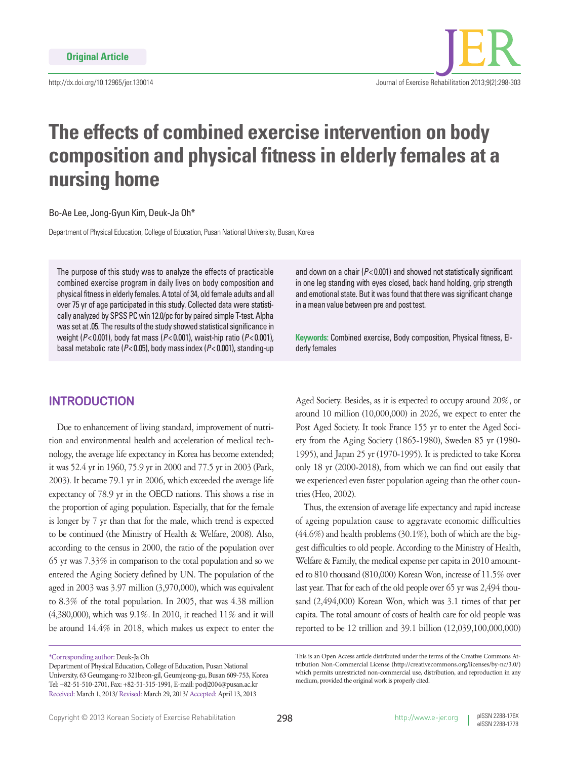http://dx.doi.org/10.12965/jer.130014

# **The effects of combined exercise intervention on body composition and physical fitness in elderly females at a nursing home**

Bo-Ae Lee, Jong-Gyun Kim, Deuk-Ja Oh\*

Department of Physical Education, College of Education, Pusan National University, Busan, Korea

The purpose of this study was to analyze the effects of practicable combined exercise program in daily lives on body composition and physical fitness in elderly females. A total of 34, old female adults and all over 75 yr of age participated in this study. Collected data were statistically analyzed by SPSS PC win 12.0/pc for by paired simple T-test. Alpha was set at .05. The results of the study showed statistical significance in weight (*P*< 0.001), body fat mass (*P*< 0.001), waist-hip ratio (*P*< 0.001), basal metabolic rate (*P*< 0.05), body mass index (*P*< 0.001), standing-up

## **INTRODUCTION**

Due to enhancement of living standard, improvement of nutrition and environmental health and acceleration of medical technology, the average life expectancy in Korea has become extended; it was 52.4 yr in 1960, 75.9 yr in 2000 and 77.5 yr in 2003 (Park, 2003). It became 79.1 yr in 2006, which exceeded the average life expectancy of 78.9 yr in the OECD nations. This shows a rise in the proportion of aging population. Especially, that for the female is longer by 7 yr than that for the male, which trend is expected to be continued (the Ministry of Health & Welfare, 2008). Also, according to the census in 2000, the ratio of the population over 65 yr was 7.33% in comparison to the total population and so we entered the Aging Society defined by UN. The population of the aged in 2003 was 3.97 million (3,970,000), which was equivalent to 8.3% of the total population. In 2005, that was 4.38 million (4,380,000), which was 9.1%. In 2010, it reached 11% and it will be around 14.4% in 2018, which makes us expect to enter the

and down on a chair (*P*< 0.001) and showed not statistically significant in one leg standing with eyes closed, back hand holding, grip strength and emotional state. But it was found that there was significant change in a mean value between pre and post test.

**Keywords:** Combined exercise, Body composition, Physical fitness, Elderly females

Aged Society. Besides, as it is expected to occupy around 20%, or around 10 million (10,000,000) in 2026, we expect to enter the Post Aged Society. It took France 155 yr to enter the Aged Society from the Aging Society (1865-1980), Sweden 85 yr (1980- 1995), and Japan 25 yr (1970-1995). It is predicted to take Korea only 18 yr (2000-2018), from which we can find out easily that we experienced even faster population ageing than the other countries (Heo, 2002).

Thus, the extension of average life expectancy and rapid increase of ageing population cause to aggravate economic difficulties (44.6%) and health problems (30.1%), both of which are the biggest difficulties to old people. According to the Ministry of Health, Welfare & Family, the medical expense per capita in 2010 amounted to 810 thousand (810,000) Korean Won, increase of 11.5% over last year. That for each of the old people over 65 yr was 2,494 thousand (2,494,000) Korean Won, which was 3.1 times of that per capita. The total amount of costs of health care for old people was reported to be 12 trillion and 39.1 billion (12,039,100,000,000)

<sup>\*</sup>Corresponding author: Deuk-Ja Oh

Department of Physical Education, College of Education, Pusan National University, 63 Geumgang-ro 321beon-gil, Geumjeong-gu, Busan 609-753, Korea Tel: +82-51-510-2701, Fax: +82-51-515-1991, E-mail: podj2004@pusan.ac.kr Received: March 1, 2013/ Revised: March 29, 2013/ Accepted: April 13, 2013

This is an Open Access article distributed under the terms of the Creative Commons Attribution Non-Commercial License (http://creativecommons.org/licenses/by-nc/3.0/) which permits unrestricted non-commercial use, distribution, and reproduction in any medium, provided the original work is properly cited.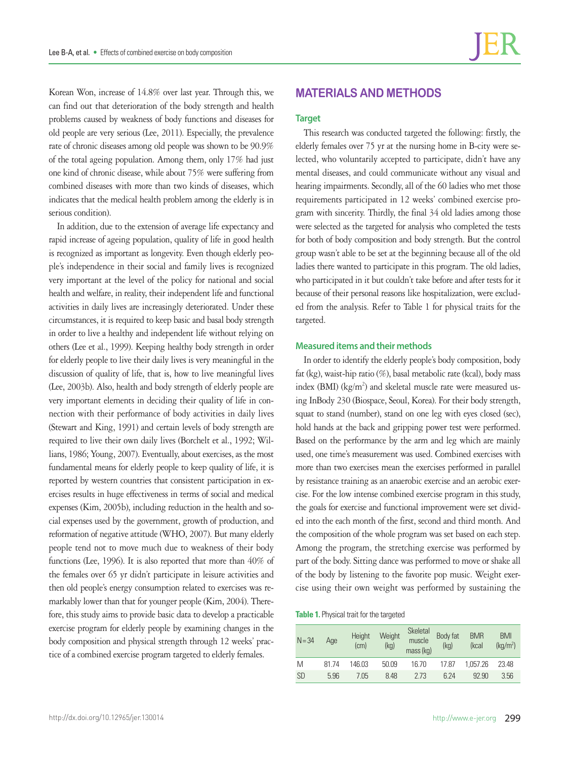Korean Won, increase of 14.8% over last year. Through this, we can find out that deterioration of the body strength and health problems caused by weakness of body functions and diseases for **Target** 

old people are very serious (Lee, 2011). Especially, the prevalence rate of chronic diseases among old people was shown to be 90.9% of the total ageing population. Among them, only 17% had just one kind of chronic disease, while about 75% were suffering from combined diseases with more than two kinds of diseases, which indicates that the medical health problem among the elderly is in serious condition).

In addition, due to the extension of average life expectancy and rapid increase of ageing population, quality of life in good health is recognized as important as longevity. Even though elderly people's independence in their social and family lives is recognized very important at the level of the policy for national and social health and welfare, in reality, their independent life and functional activities in daily lives are increasingly deteriorated. Under these circumstances, it is required to keep basic and basal body strength in order to live a healthy and independent life without relying on others (Lee et al., 1999). Keeping healthy body strength in order for elderly people to live their daily lives is very meaningful in the discussion of quality of life, that is, how to live meaningful lives (Lee, 2003b). Also, health and body strength of elderly people are very important elements in deciding their quality of life in connection with their performance of body activities in daily lives (Stewart and King, 1991) and certain levels of body strength are required to live their own daily lives (Borchelt et al., 1992; Willians, 1986; Young, 2007). Eventually, about exercises, as the most fundamental means for elderly people to keep quality of life, it is reported by western countries that consistent participation in exercises results in huge effectiveness in terms of social and medical expenses (Kim, 2005b), including reduction in the health and social expenses used by the government, growth of production, and reformation of negative attitude (WHO, 2007). But many elderly people tend not to move much due to weakness of their body functions (Lee, 1996). It is also reported that more than 40% of the females over 65 yr didn't participate in leisure activities and then old people's energy consumption related to exercises was remarkably lower than that for younger people (Kim, 2004). Therefore, this study aims to provide basic data to develop a practicable exercise program for elderly people by examining changes in the body composition and physical strength through 12 weeks' practice of a combined exercise program targeted to elderly females.

## **MATERIALS AND METHODS**

This research was conducted targeted the following: firstly, the elderly females over 75 yr at the nursing home in B-city were selected, who voluntarily accepted to participate, didn't have any mental diseases, and could communicate without any visual and hearing impairments. Secondly, all of the 60 ladies who met those requirements participated in 12 weeks' combined exercise program with sincerity. Thirdly, the final 34 old ladies among those were selected as the targeted for analysis who completed the tests for both of body composition and body strength. But the control group wasn't able to be set at the beginning because all of the old ladies there wanted to participate in this program. The old ladies, who participated in it but couldn't take before and after tests for it because of their personal reasons like hospitalization, were excluded from the analysis. Refer to Table 1 for physical traits for the targeted.

#### **Measured items and their methods**

In order to identify the elderly people's body composition, body fat (kg), waist-hip ratio (%), basal metabolic rate (kcal), body mass index (BMI) ( $kg/m<sup>2</sup>$ ) and skeletal muscle rate were measured using InBody 230 (Biospace, Seoul, Korea). For their body strength, squat to stand (number), stand on one leg with eyes closed (sec), hold hands at the back and gripping power test were performed. Based on the performance by the arm and leg which are mainly used, one time's measurement was used. Combined exercises with more than two exercises mean the exercises performed in parallel by resistance training as an anaerobic exercise and an aerobic exercise. For the low intense combined exercise program in this study, the goals for exercise and functional improvement were set divided into the each month of the first, second and third month. And the composition of the whole program was set based on each step. Among the program, the stretching exercise was performed by part of the body. Sitting dance was performed to move or shake all of the body by listening to the favorite pop music. Weight exercise using their own weight was performed by sustaining the

**Table 1.** Physical trait for the targeted

| $N = 34$  | Age  | Height<br>(cm) | Weight<br>(kg) | Skeletal<br>muscle<br>mass (kg) | Body fat<br>(kg) | <b>BMR</b><br>(kcal | <b>BMI</b><br>(kq/m <sup>2</sup> ) |
|-----------|------|----------------|----------------|---------------------------------|------------------|---------------------|------------------------------------|
| M         | 8174 | 146.03         | 50.09          | 16.70                           | 17.87            | 1.057.26            | 23.48                              |
| <b>SD</b> | 5.96 | 7.05           | 8.48           | 273                             | 6 24             | 92.90               | 3.56                               |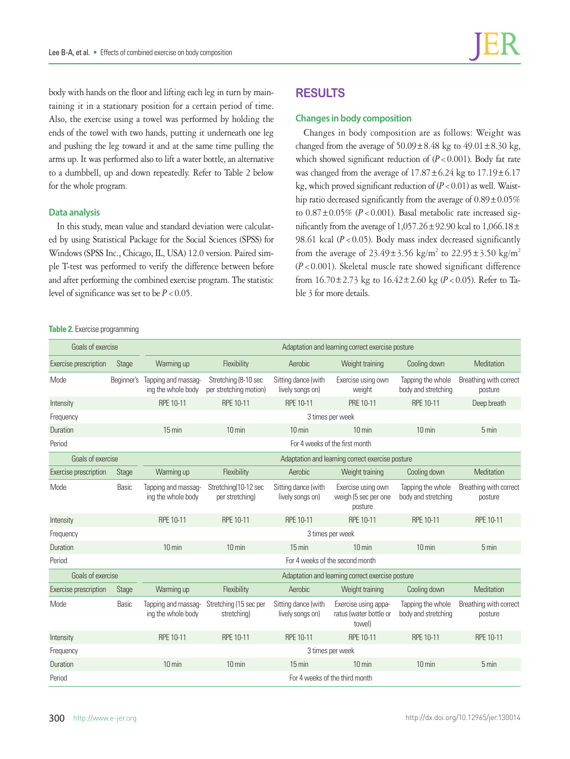body with hands on the floor and lifting each leg in turn by maintaining it in a stationary position for a certain period of time. Also, the exercise using a towel was performed by holding the ends of the towel with two hands, putting it underneath one leg and pushing the leg toward it and at the same time pulling the arms up. It was performed also to lift a water bottle, an alternative to a dumbbell, up and down repeatedly. Refer to Table 2 below for the whole program.

#### **Data analysis**

In this study, mean value and standard deviation were calculated by using Statistical Package for the Social Sciences (SPSS) for Windows (SPSS Inc., Chicago, IL, USA) 12.0 version. Paired simple T-test was performed to verify the difference between before and after performing the combined exercise program. The statistic level of significance was set to be  $P < 0.05$ .

#### **Table 2.** Exercise programming

## **RESULTS**

#### **Changes in body composition**

Changes in body composition are as follows: Weight was changed from the average of  $50.09 \pm 8.48$  kg to  $49.01 \pm 8.30$  kg, which showed significant reduction of  $(P < 0.001)$ . Body fat rate was changed from the average of  $17.87 \pm 6.24$  kg to  $17.19 \pm 6.17$ kg, which proved significant reduction of  $(P<0.01)$  as well. Waisthip ratio decreased significantly from the average of  $0.89 \pm 0.05\%$ to  $0.87 \pm 0.05\%$  ( $P < 0.001$ ). Basal metabolic rate increased significantly from the average of  $1,057.26 \pm 92.90$  kcal to  $1,066.18 \pm$ 98.61 kcal  $(P < 0.05)$ . Body mass index decreased significantly from the average of  $23.49 \pm 3.56 \text{ kg/m}^2$  to  $22.95 \pm 3.50 \text{ kg/m}^2$ (*P*<0.001). Skeletal muscle rate showed significant difference from 16.70±2.73 kg to 16.42±2.60 kg (*P*<0.05). Refer to Table 3 for more details.

| Goals of exercise     |            | Adaptation and learning correct exercise posture |                                                |                                         |                                                          |                                          |                                   |  |
|-----------------------|------------|--------------------------------------------------|------------------------------------------------|-----------------------------------------|----------------------------------------------------------|------------------------------------------|-----------------------------------|--|
| Exercise prescription | Stage      | Warming up                                       | Flexibility                                    | Aerobic                                 | Weight training                                          | Cooling down                             | Meditation                        |  |
| Mode                  | Beginner's | Tapping and massag-<br>ing the whole body        | Stretching (8-10 sec<br>per stretching motion) | Sitting dance (with<br>lively songs on) | Exercise using own<br>weight                             | Tapping the whole<br>body and stretching | Breathing with correct<br>posture |  |
| Intensity             |            | RPE 10-11                                        | RPE 10-11                                      | RPE 10-11                               | PRE 10-11                                                | RPE 10-11                                | Deep breath                       |  |
| Frequency             |            | 3 times per week                                 |                                                |                                         |                                                          |                                          |                                   |  |
| Duration              |            | $15 \text{ min}$                                 | $10 \text{ min}$                               | $10 \text{ min}$                        | $10 \text{ min}$                                         | $10 \text{ min}$                         | 5 min                             |  |
| Period                |            | For 4 weeks of the first month                   |                                                |                                         |                                                          |                                          |                                   |  |
| Goals of exercise     |            | Adaptation and learning correct exercise posture |                                                |                                         |                                                          |                                          |                                   |  |
| Exercise prescription | Stage      | Warming up                                       | Flexibility                                    | Aerobic                                 | Weight training                                          | Cooling down                             | Meditation                        |  |
| Mode                  | Basic      | Tapping and massag-<br>ing the whole body        | Stretching(10-12 sec<br>per stretching)        | Sitting dance (with<br>lively songs on) | Exercise using own<br>weigh (5 sec per one<br>posture    | Tapping the whole<br>body and stretching | Breathing with correct<br>posture |  |
| Intensity             |            | RPE 10-11                                        | RPE 10-11                                      | RPE 10-11                               | RPE 10-11                                                | RPE 10-11                                | RPE 10-11                         |  |
| Frequency             |            | 3 times per week                                 |                                                |                                         |                                                          |                                          |                                   |  |
| Duration              |            | $10 \text{ min}$                                 | $10 \text{ min}$                               | $15 \text{ min}$                        | $10 \text{ min}$                                         | $10 \text{ min}$                         | $5 \text{ min}$                   |  |
| Period                |            | For 4 weeks of the second month                  |                                                |                                         |                                                          |                                          |                                   |  |
| Goals of exercise     |            | Adaptation and learning correct exercise posture |                                                |                                         |                                                          |                                          |                                   |  |
| Exercise prescription | Stage      | Warming up                                       | Flexibility                                    | Aerobic                                 | Weight training                                          | Cooling down                             | Meditation                        |  |
| Mode                  | Basic      | Tapping and massag-<br>ing the whole body        | Stretching (15 sec per<br>stretching)          | Sitting dance (with<br>lively songs on) | Exercise using appa-<br>ratus (water bottle or<br>towel) | Tapping the whole<br>body and stretching | Breathing with correct<br>posture |  |
| Intensity             |            | RPE 10-11                                        | RPE 10-11                                      | RPE 10-11                               | RPE 10-11                                                | RPE 10-11                                | RPE 10-11                         |  |
| Frequency             |            | 3 times per week                                 |                                                |                                         |                                                          |                                          |                                   |  |
| Duration              |            | $10 \text{ min}$                                 | $10 \text{ min}$                               | $15 \text{ min}$                        | $10 \text{ min}$                                         | $10 \text{ min}$                         | 5 min                             |  |
| Period                |            | For 4 weeks of the third month                   |                                                |                                         |                                                          |                                          |                                   |  |
|                       |            |                                                  |                                                |                                         |                                                          |                                          |                                   |  |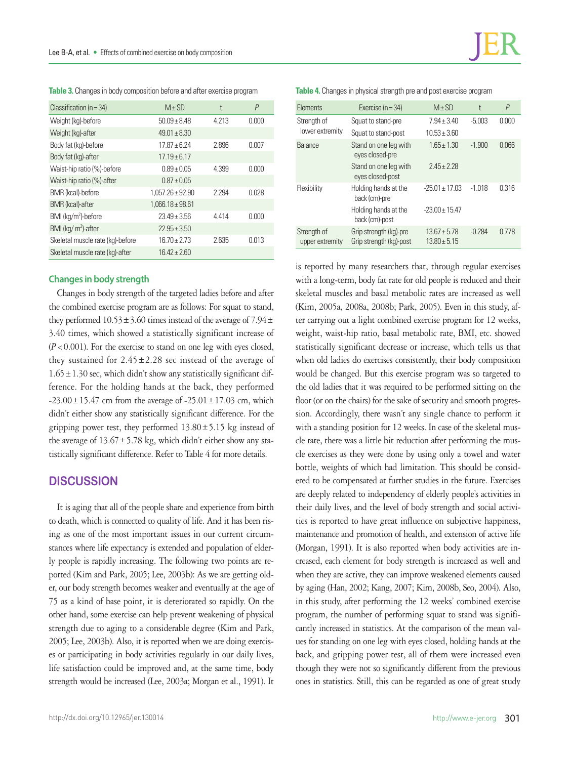| Table 3. Changes in body composition before and after exercise program |  |
|------------------------------------------------------------------------|--|
|------------------------------------------------------------------------|--|

| Classification ( $n = 34$ )      | $M \pm SD$           | t     | P     |
|----------------------------------|----------------------|-------|-------|
| Weight (kg)-before               | $50.09 + 8.48$       | 4.213 | 0.000 |
| Weight (kg)-after                | $49.01 \pm 8.30$     |       |       |
| Body fat (kg)-before             | $17.87 + 6.24$       | 2.896 | 0.007 |
| Body fat (kg)-after              | $17.19 \pm 6.17$     |       |       |
| Waist-hip ratio (%)-before       | $0.89 \pm 0.05$      | 4.399 | 0.000 |
| Waist-hip ratio (%)-after        | $0.87 \pm 0.05$      |       |       |
| BMR (kcal)-before                | $1.057.26 \pm 92.90$ | 2.294 | 0.028 |
| <b>BMR</b> (kcal)-after          | $1,066.18 \pm 98.61$ |       |       |
| BMI (kg/m <sup>2</sup> )-before  | $23.49 \pm 3.56$     | 4.414 | 0.000 |
| BMI ( $kg/m2$ )-after            | $22.95 \pm 3.50$     |       |       |
| Skeletal muscle rate (kg)-before | $16.70 + 2.73$       | 2.635 | 0.013 |
| Skeletal muscle rate (kg)-after  | $16.42 + 2.60$       |       |       |

### **Changes in body strength**

Changes in body strength of the targeted ladies before and after the combined exercise program are as follows: For squat to stand, they performed  $10.53 \pm 3.60$  times instead of the average of  $7.94 \pm$ 3.40 times, which showed a statistically significant increase of  $(P<0.001)$ . For the exercise to stand on one leg with eyes closed, they sustained for  $2.45 \pm 2.28$  sec instead of the average of  $1.65 \pm 1.30$  sec, which didn't show any statistically significant difference. For the holding hands at the back, they performed  $-23.00 \pm 15.47$  cm from the average of  $-25.01 \pm 17.03$  cm, which didn't either show any statistically significant difference. For the gripping power test, they performed  $13.80 \pm 5.15$  kg instead of the average of  $13.67 \pm 5.78$  kg, which didn't either show any statistically significant difference. Refer to Table 4 for more details.

## **DISCUSSION**

It is aging that all of the people share and experience from birth to death, which is connected to quality of life. And it has been rising as one of the most important issues in our current circumstances where life expectancy is extended and population of elderly people is rapidly increasing. The following two points are reported (Kim and Park, 2005; Lee, 2003b): As we are getting older, our body strength becomes weaker and eventually at the age of 75 as a kind of base point, it is deteriorated so rapidly. On the other hand, some exercise can help prevent weakening of physical strength due to aging to a considerable degree (Kim and Park, 2005; Lee, 2003b). Also, it is reported when we are doing exercises or participating in body activities regularly in our daily lives, life satisfaction could be improved and, at the same time, body strength would be increased (Lee, 2003a; Morgan et al., 1991). It

**Table 4.** Changes in physical strength pre and post exercise program

| Elements                       | Exercise ( $n = 34$ )                             | $M + SD$                           | t        | $\overline{P}$ |
|--------------------------------|---------------------------------------------------|------------------------------------|----------|----------------|
| Strength of                    | Squat to stand-pre                                | $7.94 \pm 3.40$                    | $-5.003$ | 0.000          |
| lower extremity                | Squat to stand-post                               | $10.53 + 3.60$                     |          |                |
| Balance                        | Stand on one leg with<br>eyes closed-pre          | $1.65 \pm 1.30$                    | $-1.900$ | 0.066          |
|                                | Stand on one leg with<br>eyes closed-post         | $2.45 + 2.28$                      |          |                |
| Flexibility                    | Holding hands at the<br>back (cm)-pre             | $-25.01 \pm 17.03$                 | $-1.018$ | 0.316          |
|                                | Holding hands at the<br>back (cm)-post            | $-23.00 + 15.47$                   |          |                |
| Strength of<br>upper extremity | Grip strength (kg)-pre<br>Grip strength (kg)-post | $13.67 \pm 5.78$<br>$13.80 + 5.15$ | $-0.284$ | በ 778          |

is reported by many researchers that, through regular exercises with a long-term, body fat rate for old people is reduced and their skeletal muscles and basal metabolic rates are increased as well (Kim, 2005a, 2008a, 2008b; Park, 2005). Even in this study, after carrying out a light combined exercise program for 12 weeks, weight, waist-hip ratio, basal metabolic rate, BMI, etc. showed statistically significant decrease or increase, which tells us that when old ladies do exercises consistently, their body composition would be changed. But this exercise program was so targeted to the old ladies that it was required to be performed sitting on the floor (or on the chairs) for the sake of security and smooth progression. Accordingly, there wasn't any single chance to perform it with a standing position for 12 weeks. In case of the skeletal muscle rate, there was a little bit reduction after performing the muscle exercises as they were done by using only a towel and water bottle, weights of which had limitation. This should be considered to be compensated at further studies in the future. Exercises are deeply related to independency of elderly people's activities in their daily lives, and the level of body strength and social activities is reported to have great influence on subjective happiness, maintenance and promotion of health, and extension of active life (Morgan, 1991). It is also reported when body activities are increased, each element for body strength is increased as well and when they are active, they can improve weakened elements caused by aging (Han, 2002; Kang, 2007; Kim, 2008b, Seo, 2004). Also, in this study, after performing the 12 weeks' combined exercise program, the number of performing squat to stand was significantly increased in statistics. At the comparison of the mean values for standing on one leg with eyes closed, holding hands at the back, and gripping power test, all of them were increased even though they were not so significantly different from the previous ones in statistics. Still, this can be regarded as one of great study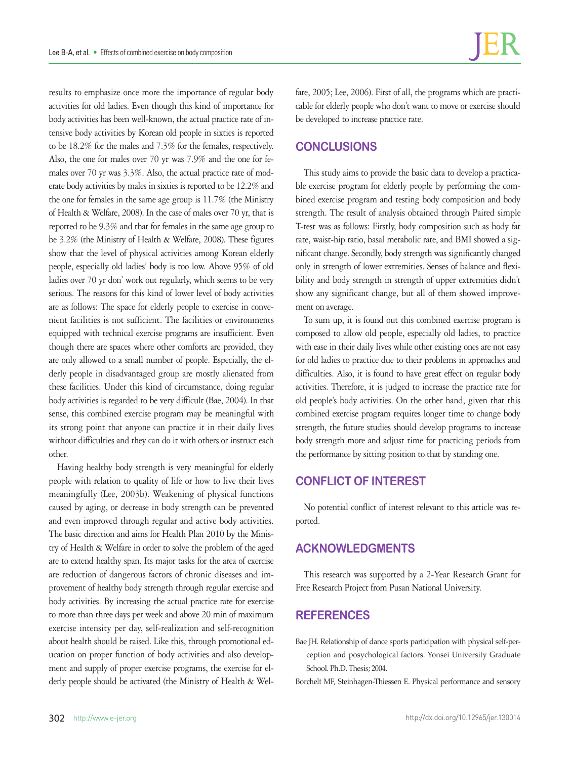results to emphasize once more the importance of regular body activities for old ladies. Even though this kind of importance for body activities has been well-known, the actual practice rate of intensive body activities by Korean old people in sixties is reported to be 18.2% for the males and 7.3% for the females, respectively. Also, the one for males over 70 yr was 7.9% and the one for females over 70 yr was 3.3%. Also, the actual practice rate of moderate body activities by males in sixties is reported to be 12.2% and the one for females in the same age group is 11.7% (the Ministry of Health & Welfare, 2008). In the case of males over 70 yr, that is reported to be 9.3% and that for females in the same age group to be 3.2% (the Ministry of Health & Welfare, 2008). These figures show that the level of physical activities among Korean elderly people, especially old ladies' body is too low. Above 95% of old ladies over 70 yr don' work out regularly, which seems to be very serious. The reasons for this kind of lower level of body activities are as follows: The space for elderly people to exercise in convenient facilities is not sufficient. The facilities or environments equipped with technical exercise programs are insufficient. Even though there are spaces where other comforts are provided, they are only allowed to a small number of people. Especially, the elderly people in disadvantaged group are mostly alienated from these facilities. Under this kind of circumstance, doing regular body activities is regarded to be very difficult (Bae, 2004). In that sense, this combined exercise program may be meaningful with its strong point that anyone can practice it in their daily lives without difficulties and they can do it with others or instruct each other.

Having healthy body strength is very meaningful for elderly people with relation to quality of life or how to live their lives meaningfully (Lee, 2003b). Weakening of physical functions caused by aging, or decrease in body strength can be prevented and even improved through regular and active body activities. The basic direction and aims for Health Plan 2010 by the Ministry of Health & Welfare in order to solve the problem of the aged are to extend healthy span. Its major tasks for the area of exercise are reduction of dangerous factors of chronic diseases and improvement of healthy body strength through regular exercise and body activities. By increasing the actual practice rate for exercise to more than three days per week and above 20 min of maximum exercise intensity per day, self-realization and self-recognition about health should be raised. Like this, through promotional education on proper function of body activities and also development and supply of proper exercise programs, the exercise for elderly people should be activated (the Ministry of Health & Wel-

fare, 2005; Lee, 2006). First of all, the programs which are practicable for elderly people who don't want to move or exercise should be developed to increase practice rate.

## **CONCLUSIONS**

This study aims to provide the basic data to develop a practicable exercise program for elderly people by performing the combined exercise program and testing body composition and body strength. The result of analysis obtained through Paired simple T-test was as follows: Firstly, body composition such as body fat rate, waist-hip ratio, basal metabolic rate, and BMI showed a significant change. Secondly, body strength was significantly changed only in strength of lower extremities. Senses of balance and flexibility and body strength in strength of upper extremities didn't show any significant change, but all of them showed improvement on average.

To sum up, it is found out this combined exercise program is composed to allow old people, especially old ladies, to practice with ease in their daily lives while other existing ones are not easy for old ladies to practice due to their problems in approaches and difficulties. Also, it is found to have great effect on regular body activities. Therefore, it is judged to increase the practice rate for old people's body activities. On the other hand, given that this combined exercise program requires longer time to change body strength, the future studies should develop programs to increase body strength more and adjust time for practicing periods from the performance by sitting position to that by standing one.

## **CONFLICT OF INTEREST**

No potential conflict of interest relevant to this article was reported.

## **ACKNOWLEDGMENTS**

This research was supported by a 2-Year Research Grant for Free Research Project from Pusan National University.

## **REFERENCES**

Bae JH. Relationship of dance sports participation with physical self-perception and posychological factors. Yonsei University Graduate School. Ph.D. Thesis; 2004.

Borchelt MF, Steinhagen-Thiessen E. Physical performance and sensory